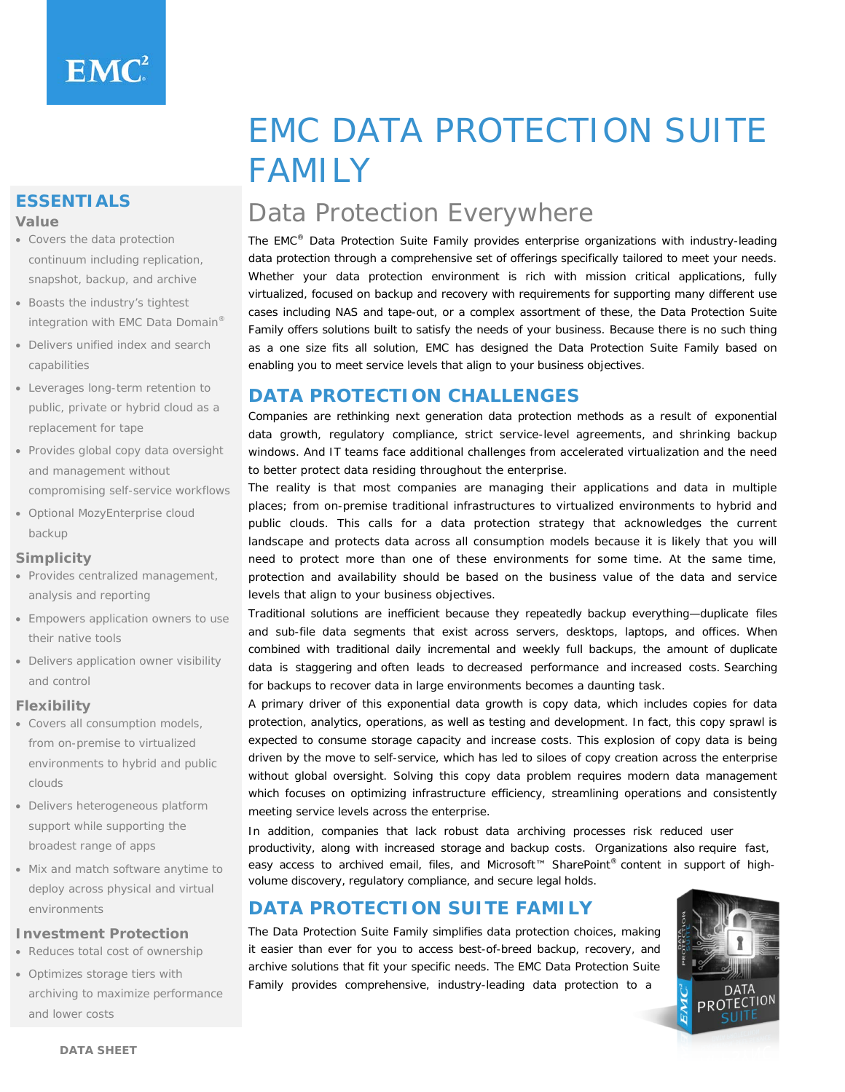# **ESSENTIALS**

#### **Value**

- Covers the data protection continuum including replication, snapshot, backup, and archive
- Boasts the industry's tightest integration with EMC Data Domain®
- Delivers unified index and search capabilities
- Leverages long-term retention to public, private or hybrid cloud as a replacement for tape
- Provides global copy data oversight and management without compromising self-service workflows
- Optional MozyEnterprise cloud backup

#### **Simplicity**

- Provides centralized management, analysis and reporting
- Empowers application owners to use their native tools
- Delivers application owner visibility and control

#### **Flexibility**

- Covers all consumption models, from on-premise to virtualized environments to hybrid and public clouds
- Delivers heterogeneous platform support while supporting the broadest range of apps
- Mix and match software anytime to deploy across physical and virtual environments

#### **Investment Protection**

- Reduces total cost of ownership
- Optimizes storage tiers with archiving to maximize performance and lower costs

# EMC DATA PROTECTION SUITE FAMILY

# Data Protection Everywhere

The EMC® Data Protection Suite Family provides enterprise organizations with industry-leading data protection through a comprehensive set of offerings specifically tailored to meet your needs. Whether your data protection environment is rich with mission critical applications, fully virtualized, focused on backup and recovery with requirements for supporting many different use cases including NAS and tape-out, or a complex assortment of these, the Data Protection Suite Family offers solutions built to satisfy the needs of your business. Because there is no such thing as a one size fits all solution, EMC has designed the Data Protection Suite Family based on enabling you to meet service levels that align to your business objectives.

# **DATA PROTECTION CHALLENGES**

Companies are rethinking next generation data protection methods as a result of exponential data growth, regulatory compliance, strict service-level agreements, and shrinking backup windows. And IT teams face additional challenges from accelerated virtualization and the need to better protect data residing throughout the enterprise.

The reality is that most companies are managing their applications and data in multiple places; from on-premise traditional infrastructures to virtualized environments to hybrid and public clouds. This calls for a data protection strategy that acknowledges the current landscape and protects data across all consumption models because it is likely that you will need to protect more than one of these environments for some time. At the same time, protection and availability should be based on the business value of the data and service levels that align to your business objectives.

Traditional solutions are inefficient because they repeatedly backup everything—duplicate files and sub-file data segments that exist across servers, desktops, laptops, and offices. When combined with traditional daily incremental and weekly full backups, the amount of duplicate data is staggering and often leads to decreased performance and increased costs. Searching for backups to recover data in large environments becomes a daunting task.

A primary driver of this exponential data growth is copy data, which includes copies for data protection, analytics, operations, as well as testing and development. In fact, this copy sprawl is expected to consume storage capacity and increase costs. This explosion of copy data is being driven by the move to self-service, which has led to siloes of copy creation across the enterprise without global oversight. Solving this copy data problem requires modern data management which focuses on optimizing infrastructure efficiency, streamlining operations and consistently meeting service levels across the enterprise.

In addition, companies that lack robust data archiving processes risk reduced user productivity, along with increased storage and backup costs. Organizations also require fast, easy access to archived email, files, and Microsoft™ SharePoint® content in support of highvolume discovery, regulatory compliance, and secure legal holds.

# **DATA PROTECTION SUITE FAMILY**

The Data Protection Suite Family simplifies data protection choices, making it easier than ever for you to access best-of-breed backup, recovery, and archive solutions that fit your specific needs. The EMC Data Protection Suite Family provides comprehensive, industry-leading data protection to a

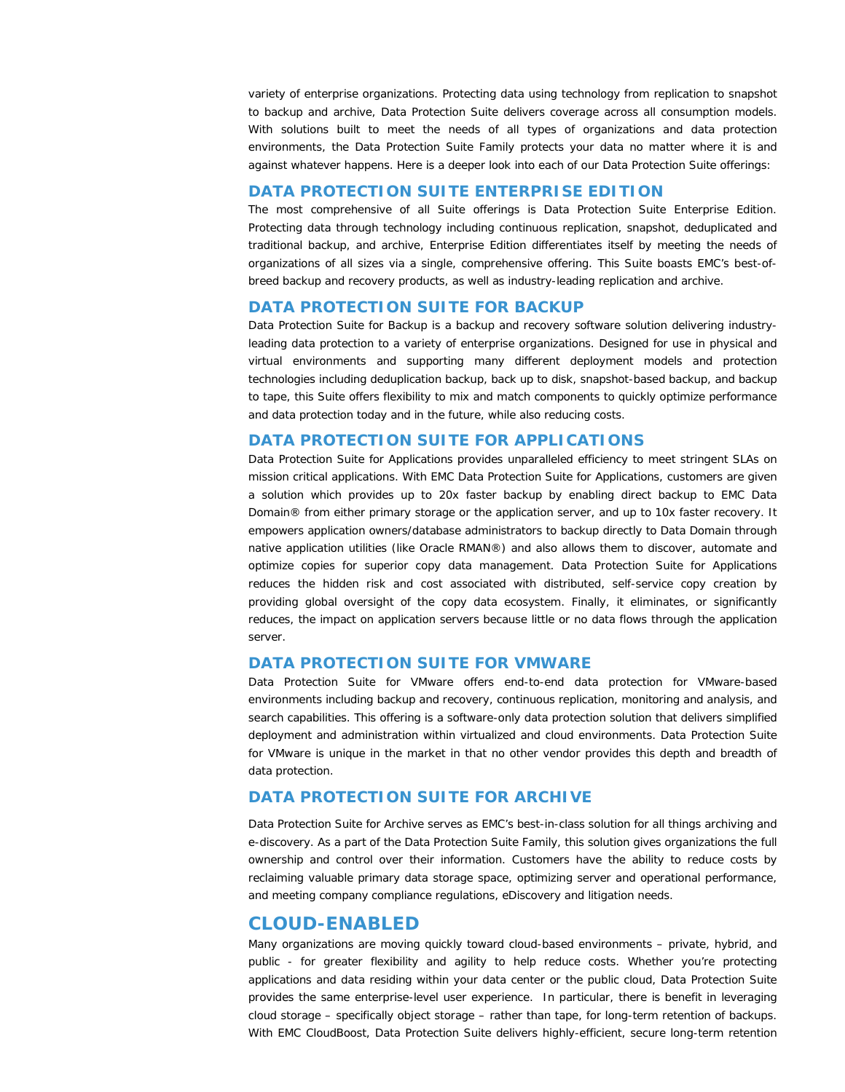variety of enterprise organizations. Protecting data using technology from replication to snapshot to backup and archive, Data Protection Suite delivers coverage across all consumption models. With solutions built to meet the needs of all types of organizations and data protection environments, the Data Protection Suite Family protects your data no matter where it is and against whatever happens. Here is a deeper look into each of our Data Protection Suite offerings:

#### **DATA PROTECTION SUITE ENTERPRISE EDITION**

The most comprehensive of all Suite offerings is Data Protection Suite Enterprise Edition. Protecting data through technology including continuous replication, snapshot, deduplicated and traditional backup, and archive, Enterprise Edition differentiates itself by meeting the needs of organizations of all sizes via a single, comprehensive offering. This Suite boasts EMC's best-ofbreed backup and recovery products, as well as industry-leading replication and archive.

#### **DATA PROTECTION SUITE FOR BACKUP**

Data Protection Suite for Backup is a backup and recovery software solution delivering industryleading data protection to a variety of enterprise organizations. Designed for use in physical and virtual environments and supporting many different deployment models and protection technologies including deduplication backup, back up to disk, snapshot-based backup, and backup to tape, this Suite offers flexibility to mix and match components to quickly optimize performance and data protection today and in the future, while also reducing costs.

#### **DATA PROTECTION SUITE FOR APPLICATIONS**

Data Protection Suite for Applications provides unparalleled efficiency to meet stringent SLAs on mission critical applications. With EMC Data Protection Suite for Applications, customers are given a solution which provides up to 20x faster backup by enabling direct backup to EMC Data Domain® from either primary storage or the application server, and up to 10x faster recovery. It empowers application owners/database administrators to backup directly to Data Domain through native application utilities (like Oracle RMAN®) and also allows them to discover, automate and optimize copies for superior copy data management. Data Protection Suite for Applications reduces the hidden risk and cost associated with distributed, self-service copy creation by providing global oversight of the copy data ecosystem. Finally, it eliminates, or significantly reduces, the impact on application servers because little or no data flows through the application server.

#### **DATA PROTECTION SUITE FOR VMWARE**

Data Protection Suite for VMware offers end-to-end data protection for VMware-based environments including backup and recovery, continuous replication, monitoring and analysis, and search capabilities. This offering is a software-only data protection solution that delivers simplified deployment and administration within virtualized and cloud environments. Data Protection Suite for VMware is unique in the market in that no other vendor provides this depth and breadth of data protection.

#### **DATA PROTECTION SUITE FOR ARCHIVE**

Data Protection Suite for Archive serves as EMC's best-in-class solution for all things archiving and e-discovery. As a part of the Data Protection Suite Family, this solution gives organizations the full ownership and control over their information. Customers have the ability to reduce costs by reclaiming valuable primary data storage space, optimizing server and operational performance, and meeting company compliance regulations, eDiscovery and litigation needs.

#### **CLOUD-ENABLED**

Many organizations are moving quickly toward cloud-based environments – private, hybrid, and public - for greater flexibility and agility to help reduce costs. Whether you're protecting applications and data residing within your data center or the public cloud, Data Protection Suite provides the same enterprise-level user experience. In particular, there is benefit in leveraging cloud storage – specifically object storage – rather than tape, for long-term retention of backups. With EMC CloudBoost, Data Protection Suite delivers highly-efficient, secure long-term retention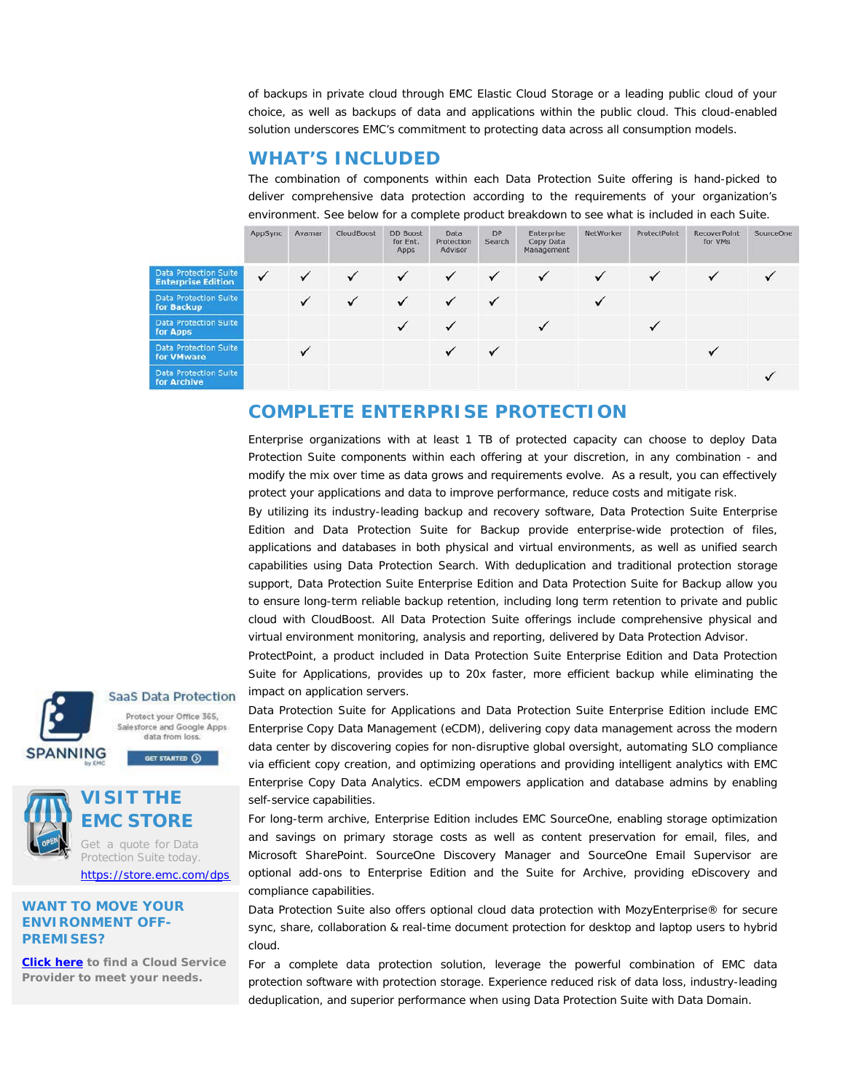of backups in private cloud through EMC Elastic Cloud Storage or a leading public cloud of your choice, as well as backups of data and applications within the public cloud. This cloud-enabled solution underscores EMC's commitment to protecting data across all consumption models.

# **WHAT'S INCLUDED**

The combination of components within each Data Protection Suite offering is hand-picked to deliver comprehensive data protection according to the requirements of your organization's environment. See below for a complete product breakdown to see what is included in each Suite.

|                                                           | AppSync      | Avamar | <b>CloudBoost</b> | <b>DD Boost</b><br>for Ent.<br>Apps | Data<br>Protection<br>Advisor | <b>DP</b><br>Search | Enterprise<br>Copy Data<br>Management | NetWorker | ProtectPoint | <b>RecoverPoint</b><br>for VMs | <b>SourceOne</b> |
|-----------------------------------------------------------|--------------|--------|-------------------|-------------------------------------|-------------------------------|---------------------|---------------------------------------|-----------|--------------|--------------------------------|------------------|
| <b>Data Protection Suite</b><br><b>Enterprise Edition</b> | $\checkmark$ |        |                   | $\checkmark$                        | $\checkmark$                  |                     |                                       | ✓         | ٧            |                                |                  |
| <b>Data Protection Suite</b><br>for Backup                |              |        | $\checkmark$      | ✓                                   | $\checkmark$                  |                     |                                       |           |              |                                |                  |
| <b>Data Protection Suite</b><br>for Apps                  |              |        |                   | ✓                                   | $\checkmark$                  |                     |                                       |           |              |                                |                  |
| Data Protection Suite<br>for <b>VMware</b>                |              |        |                   |                                     |                               |                     |                                       |           |              |                                |                  |
| Data Protection Suite<br>for Archive                      |              |        |                   |                                     |                               |                     |                                       |           |              |                                |                  |

### **COMPLETE ENTERPRISE PROTECTION**

Enterprise organizations with at least 1 TB of protected capacity can choose to deploy Data Protection Suite components within each offering at your discretion, in any combination - and modify the mix over time as data grows and requirements evolve. As a result, you can effectively protect your applications and data to improve performance, reduce costs and mitigate risk.

By utilizing its industry-leading backup and recovery software, Data Protection Suite Enterprise Edition and Data Protection Suite for Backup provide enterprise-wide protection of files, applications and databases in both physical and virtual environments, as well as unified search capabilities using Data Protection Search. With deduplication and traditional protection storage support, Data Protection Suite Enterprise Edition and Data Protection Suite for Backup allow you to ensure long-term reliable backup retention, including long term retention to private and public cloud with CloudBoost. All Data Protection Suite offerings include comprehensive physical and virtual environment monitoring, analysis and reporting, delivered by Data Protection Advisor.

ProtectPoint, a product included in Data Protection Suite Enterprise Edition and Data Protection Suite for Applications, provides up to 20x faster, more efficient backup while eliminating the impact on application servers.

Data Protection Suite for Applications and Data Protection Suite Enterprise Edition include EMC Enterprise Copy Data Management (eCDM), delivering copy data management across the modern data center by discovering copies for non-disruptive global oversight, automating SLO compliance via efficient copy creation, and optimizing operations and providing intelligent analytics with EMC Enterprise Copy Data Analytics. eCDM empowers application and database admins by enabling self-service capabilities.

For long-term archive, Enterprise Edition includes EMC SourceOne, enabling storage optimization and savings on primary storage costs as well as content preservation for email, files, and Microsoft SharePoint. SourceOne Discovery Manager and SourceOne Email Supervisor are optional add-ons to Enterprise Edition and the Suite for Archive, providing eDiscovery and compliance capabilities.

Data Protection Suite also offers optional cloud data protection with MozyEnterprise® for secure sync, share, collaboration & real-time document protection for desktop and laptop users to hybrid cloud.

For a complete data protection solution, leverage the powerful combination of EMC data protection software with protection storage. Experience reduced risk of data loss, industry-leading deduplication, and superior performance when using Data Protection Suite with Data Domain.

**SaaS Data Protection** Protect your Office 365, Salesforce and Google Apps data from loss.

**SPANNING** 



# **VISIT THE EMC STORE**

GET STARTED (D)

Get a quote for Data Protection Suite today. <https://store.emc.com/dps>

#### **WANT TO MOVE YOUR ENVIRONMENT OFF-PREMISES?**

**[Click here](https://www.emc.com/auth/service-provider/index.htm?emc_product=avamar) to find a Cloud Service Provider to meet your needs.**